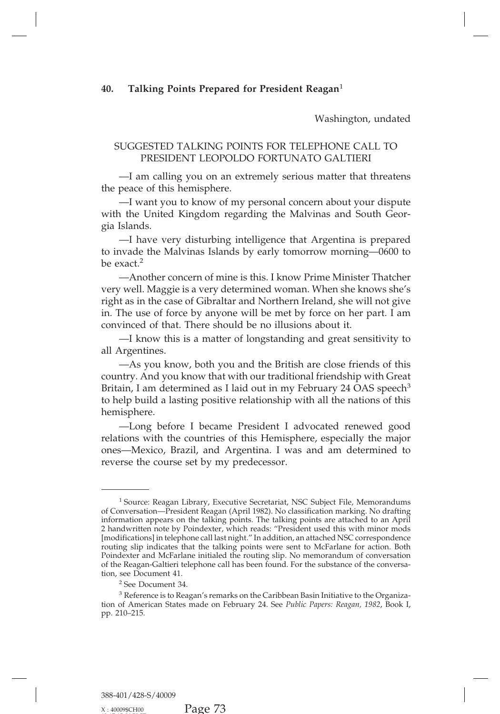## eagan<sup>1</sup><br>Washington, undated<br>PHONE CALL TO Talking Points Prepared for President Reagan<sup>1</sup><br>Washington, undated<br>SUGGESTED TALKING POINTS FOR TELEPHONE CALL TO<br>PRESIDENT LEOPOLDO FORTUNATO GALTIERI<br>—I am calling you on an extremely serious matter that threatens

Washington, undate<br>FRESTED TALKING POINTS FOR TELEPHONE CALL TO<br>PRESIDENT LEOPOLDO FORTUNATO GALTIERI<br>m calling you on an extremely serious matter that threate<br>e of this hemisphere. Washington, undated<br>
UGGESTED TALKING POINTS FOR TELEPHONE CALL TO<br>
PRESIDENT LEOPOLDO FORTUNATO GALTIERI<br>
—I am calling you on an extremely serious matter that threatens<br>
peace of this hemisphere.<br>
—I want you to know of

SUGGESTED TALKING POINT<br>
PRESIDENT LEOPOLDO<br>
—I am calling you on an extre<br>
the peace of this hemisphere.<br>
—I want you to know of my p<br>
with the United Kingdom regard UGGESTED TALKING POINTS FOR TELEPHONE CALL TO<br>
PRESIDENT LEOPOLDO FORTUNATO GALTIERI<br>
—I am calling you on an extremely serious matter that threatens<br>
peace of this hemisphere.<br>
—I want you to know of my personal concern a PRESIDENT LEOPOLDO FORTUNATO GALTIERI<br>
—I am calling you on an extremely serious matter that threatens<br>
the peace of this hemisphere.<br>
—I want you to know of my personal concern about your dispute<br>
with the United Kingdom gia Islands. —I am calling you on an extremely serious matter that threatens<br>peace of this hemisphere.<br>—I want you to know of my personal concern about your dispute<br>1 the United Kingdom regarding the Malvinas and South Geor-<br>Islands.<br> the peace of this nemisphere.<br>
—I want you to know of my personal concern about your dispute<br>
with the United Kingdom regarding the Malvinas and South Geor-<br>
gia Islands.<br>
—I have very disturbing intelligence that Argentin

—I want you to know of my personal concern about your dispute<br>with the United Kingdom regarding the Malvinas and South Geor-<br>gia Islands.<br>—I have very disturbing intelligence that Argentina is prepared<br>to invade the Malvin qua Islands.<br>
—I have very disturbing intelligence that Argentina is prepared<br>
to invade the Malvinas Islands by early tomorrow morning—0600 to<br>
be exact.<sup>2</sup><br>
—Another concern of mine is this. I know Prime Minister Thatche —I have very disturbing intelligence that Argentina is prepared<br>to invade the Malvinas Islands by early tomorrow morning—0600 to<br>be exact.<sup>2</sup><br>—Another concern of mine is this. I know Prime Minister Thatcher<br>very well. Magg to invade the Malvinas Islands by early tomorrow morning—0600 to<br>be exact.<sup>2</sup><br>—Another concern of mine is this. I know Prime Minister Thatcher<br>very well. Maggie is a very determined woman. When she knows she's<br>right as in be exact.<sup>2</sup><br>—Another concern of mine is this. I know Prime Minister Thatcher<br>very well. Maggie is a very determined woman. When she knows she's<br>right as in the case of Gibraltar and Northern Ireland, she will not give<br>in. —Another concern of mine is this. I know Prime Minister Thatcher vell. Maggie is a very determined woman. When she knows she's t as in the case of Gibraltar and Northern Ireland, she will not give The use of force by anyon very well. Maggie is<br>right as in the case c<br>in. The use of force<br>convinced of that. T<br>—I know this is<br>all Argentines.<br>—As you know<br>country. And you ki

t as in the case of Gibraitar and Northern Ireland, she will not give<br>
The use of force by anyone will be met by force on her part. I am<br>
vinced of that. There should be no illusions about it.<br>
—I know this is a matter of in. The use of force by anyone will be met by force on her part. I am<br>convinced of that. There should be no illusions about it.<br>—I know this is a matter of longstanding and great sensitivity to<br>all Argentines.<br>—As you know convinced or that. There should be no illusions about it.<br>
—I know this is a matter of longstanding and great sensitivity to<br>
all Argentines.<br>
—As you know, both you and the British are close friends of this<br>
country. And --I know this is a matter of longstanding and great sensitivity to<br>all Argentines.<br>--As you know, both you and the British are close friends of this<br>country. And you know that with our traditional friendship with Great<br>Bri hemisphere. —As you know, both you and the British are close friends of this<br>ntry. And you know that with our traditional friendship with Great<br>ain, I am determined as I laid out in my February 24 OAS speech<sup>3</sup><br>elp build a lasting pos

country. And you know that with our traditional friendship with Great<br>Britain, I am determined as I laid out in my February 24 OAS speech<sup>3</sup><br>to help build a lasting positive relationship with all the nations of this<br>hemisp Britain, I am determined as I laid out in my February 24 OAS speech<sup>3</sup><br>to help build a lasting positive relationship with all the nations of this<br>hemisphere.<br>—Long before I became President I advocated renewed good<br>relatio to help build a lasting positive relationship wit<br>hemisphere.<br>—Long before I became President I adv<br>relations with the countries of this Hemispher<br>ones—Mexico, Brazil, and Argentina. I was a<br>reverse the course set by my pr

<sup>1</sup> Source: Reagan Library, Executive Secretariat, NSC Subject File, Memorandums reverse the course set by my predecessor.<br>
Tource: Reagan Library, Executive Secretariat, NSC Subject File, Memorandums<br>
of Conversation—President Reagan (April 1982). No classification marking. No drafting<br>
information ap <sup>1</sup> Source: Reagan Library, Executive Secretariat, NSC Subject File, Memorandums<br>of Conversation—President Reagan (April 1982). No classification marking. No drafting<br>information appears on the talking points. The talking <sup>1</sup> Source: Reagan Library, Executive Secretariat, NSC Subject File, Memorandums<br>of Conversation—President Reagan (April 1982). No classification marking. No drafting<br>information appears on the talking points. The talking <sup>1</sup> Source: Reagan Library, Executive Secretariat, NSC Subject File, Memorandums<br>of Conversation—President Reagan (April 1982). No classification marking. No drafting<br>information appears on the talking points. The talking <sup>1</sup> Source: Reagan Library, Executive Secretariat, NSC Subject File, Memorandums<br>of Conversation—President Reagan (April 1982). No classification marking. No drafting<br>information appears on the talking points. The talking of Conversation—President Reagan (April 1982). No classification marking. No drafting information appears on the talking points. The talking points are attached to an April 2 handwritten note by Poindexter, which reads: "P of the Controllation and the reading points. The talking points are attached to an April 2 handwritten note by Poindexter, which reads: "President used this with minor mods [modifications] in telephone call last night." In 2 handwritten note by Poindexter, which reads: "President used this with minor mods [modifications] in telephone call last night." In addition, an attached NSC correspondence routing slip indicates that the talking points

Poindexter and McFarlane initialed the routing slip. No memorandum of conversation<br>of the Reagan-Galtieri telephone call has been found. For the substance of the conversa-<br>tion, see Document 41.<br><sup>2</sup> See Document 34.<br><sup>3</sup> Re of the Reagan-Galtion, see Docume<br>
<sup>2</sup> See Docume<br>
<sup>2</sup> See Docum<br>
<sup>3</sup> Reference is<br>
tion of American<br>
pp. 210–215.